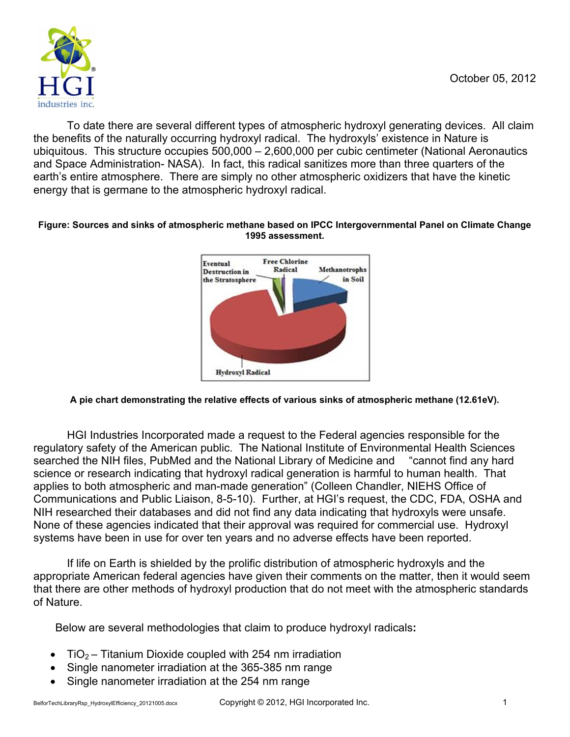

To date there are several different types of atmospheric hydroxyl generating devices. All claim the benefits of the naturally occurring hydroxyl radical. The hydroxyls' existence in Nature is ubiquitous. This structure occupies 500,000 – 2,600,000 per cubic centimeter (National Aeronautics and Space Administration- NASA). In fact, this radical sanitizes more than three quarters of the earth's entire atmosphere. There are simply no other atmospheric oxidizers that have the kinetic energy that is germane to the atmospheric hydroxyl radical.

#### **Figure: Sources and sinks of atmospheric methane based on IPCC Intergovernmental Panel on Climate Change 1995 assessment.**



### **A pie chart demonstrating the relative effects of various sinks of atmospheric methane (12.61eV).**

HGI Industries Incorporated made a request to the Federal agencies responsible for the regulatory safety of the American public. The National Institute of Environmental Health Sciences searched the NIH files, PubMed and the National Library of Medicine and "cannot find any hard science or research indicating that hydroxyl radical generation is harmful to human health. That applies to both atmospheric and man-made generation" (Colleen Chandler, NIEHS Office of Communications and Public Liaison, 8-5-10). Further, at HGI's request, the CDC, FDA, OSHA and NIH researched their databases and did not find any data indicating that hydroxyls were unsafe. None of these agencies indicated that their approval was required for commercial use. Hydroxyl systems have been in use for over ten years and no adverse effects have been reported.

If life on Earth is shielded by the prolific distribution of atmospheric hydroxyls and the appropriate American federal agencies have given their comments on the matter, then it would seem that there are other methods of hydroxyl production that do not meet with the atmospheric standards of Nature.

Below are several methodologies that claim to produce hydroxyl radicals**:** 

- TiO<sub>2</sub> Titanium Dioxide coupled with 254 nm irradiation
- Single nanometer irradiation at the 365-385 nm range
- Single nanometer irradiation at the 254 nm range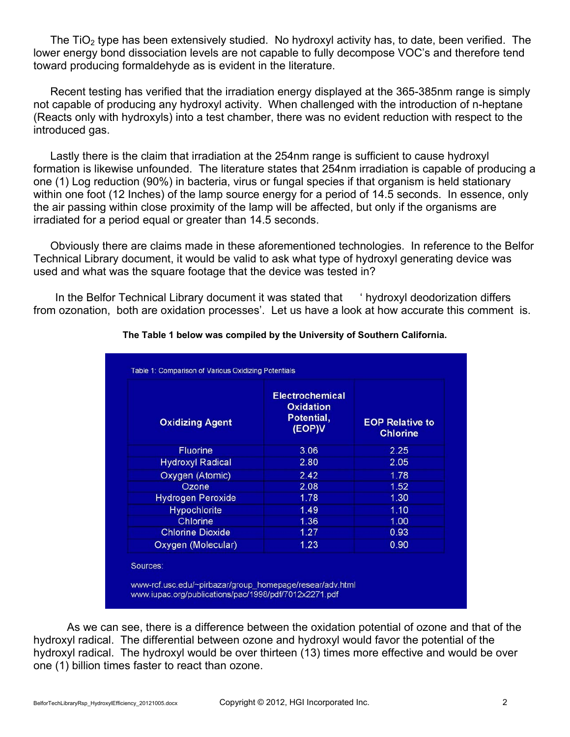The TiO<sub>2</sub> type has been extensively studied. No hydroxyl activity has, to date, been verified. The lower energy bond dissociation levels are not capable to fully decompose VOC's and therefore tend toward producing formaldehyde as is evident in the literature.

Recent testing has verified that the irradiation energy displayed at the 365-385nm range is simply not capable of producing any hydroxyl activity. When challenged with the introduction of n-heptane (Reacts only with hydroxyls) into a test chamber, there was no evident reduction with respect to the introduced gas.

Lastly there is the claim that irradiation at the 254nm range is sufficient to cause hydroxyl formation is likewise unfounded. The literature states that 254nm irradiation is capable of producing a one (1) Log reduction (90%) in bacteria, virus or fungal species if that organism is held stationary within one foot (12 Inches) of the lamp source energy for a period of 14.5 seconds. In essence, only the air passing within close proximity of the lamp will be affected, but only if the organisms are irradiated for a period equal or greater than 14.5 seconds.

Obviously there are claims made in these aforementioned technologies. In reference to the Belfor Technical Library document, it would be valid to ask what type of hydroxyl generating device was used and what was the square footage that the device was tested in?

 In the Belfor Technical Library document it was stated that ' hydroxyl deodorization differs from ozonation, both are oxidation processes'. Let us have a look at how accurate this comment is.

| <b>Oxidizing Agent</b>   | <b>Electrochemical</b><br>Oxidation<br>Potential,<br>(EOP)V | <b>EOP Relative to</b><br><b>Chlorine</b> |
|--------------------------|-------------------------------------------------------------|-------------------------------------------|
| <b>Fluorine</b>          | 3.06                                                        | 2.25                                      |
| <b>Hydroxyl Radical</b>  | 2.80                                                        | 2.05                                      |
| Oxygen (Atomic)          | 2.42                                                        | 1.78                                      |
| Ozone                    | 2.08                                                        | 1.52                                      |
| <b>Hydrogen Peroxide</b> | 1.78                                                        | 1.30                                      |
| <b>Hypochlorite</b>      | 1.49                                                        | 1.10                                      |
| Chlorine                 | 1.36                                                        | 1.00                                      |
| <b>Chlorine Dioxide</b>  | 1.27                                                        | 0.93                                      |
| Oxygen (Molecular)       | 1.23                                                        | 0.90                                      |
| Sources:                 |                                                             |                                           |

#### **The Table 1 below was compiled by the University of Southern California.**

 As we can see, there is a difference between the oxidation potential of ozone and that of the hydroxyl radical. The differential between ozone and hydroxyl would favor the potential of the hydroxyl radical. The hydroxyl would be over thirteen (13) times more effective and would be over one (1) billion times faster to react than ozone.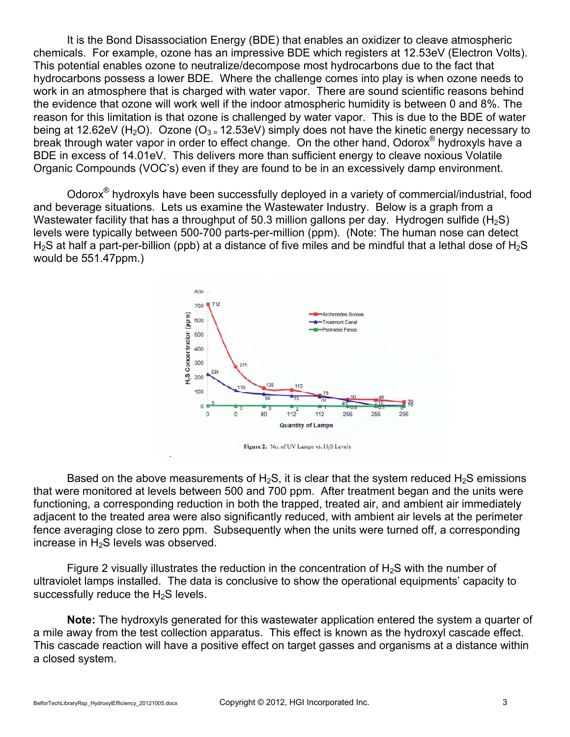It is the Bond Disassociation Energy (BDE) that enables an oxidizer to cleave atmospheric chemicals. For example, ozone has an impressive BDE which registers at 12.53eV (Electron Volts). This potential enables ozone to neutralize/decompose most hydrocarbons due to the fact that hydrocarbons possess a lower BDE. Where the challenge comes into play is when ozone needs to work in an atmosphere that is charged with water vapor. There are sound scientific reasons behind the evidence that ozone will work well if the indoor atmospheric humidity is between 0 and 8%. The reason for this limitation is that ozone is challenged by water vapor. This is due to the BDE of water being at 12.62eV (H<sub>2</sub>O). Ozone (O<sub>3 =</sub> 12.53eV) simply does not have the kinetic energy necessary to break through water vapor in order to effect change. On the other hand, Odorox<sup>®</sup> hydroxyls have a BDE in excess of 14.01eV. This delivers more than sufficient energy to cleave noxious Volatile Organic Compounds (VOC's) even if they are found to be in an excessively damp environment.

Odorox® hydroxyls have been successfully deployed in a variety of commercial/industrial, food and beverage situations. Lets us examine the Wastewater Industry. Below is a graph from a Wastewater facility that has a throughput of 50.3 million gallons per day. Hydrogen sulfide  $(H<sub>2</sub>S)$ levels were typically between 500-700 parts-per-million (ppm). (Note: The human nose can detect  $H<sub>2</sub>S$  at half a part-per-billion (ppb) at a distance of five miles and be mindful that a lethal dose of  $H<sub>2</sub>S$ would be 551.47ppm.)



Based on the above measurements of H<sub>2</sub>S, it is clear that the system reduced H<sub>2</sub>S emissions that were monitored at levels between 500 and 700 ppm. After treatment began and the units were functioning, a corresponding reduction in both the trapped, treated air, and ambient air immediately adjacent to the treated area were also significantly reduced, with ambient air levels at the perimeter fence averaging close to zero ppm. Subsequently when the units were turned off, a corresponding increase in  $H_2S$  levels was observed.

Figure 2 visually illustrates the reduction in the concentration of  $H_2S$  with the number of ultraviolet lamps installed. The data is conclusive to show the operational equipments' capacity to successfully reduce the  $H_2S$  levels.

**Note:** The hydroxyls generated for this wastewater application entered the system a quarter of a mile away from the test collection apparatus. This effect is known as the hydroxyl cascade effect. This cascade reaction will have a positive effect on target gasses and organisms at a distance within a closed system.